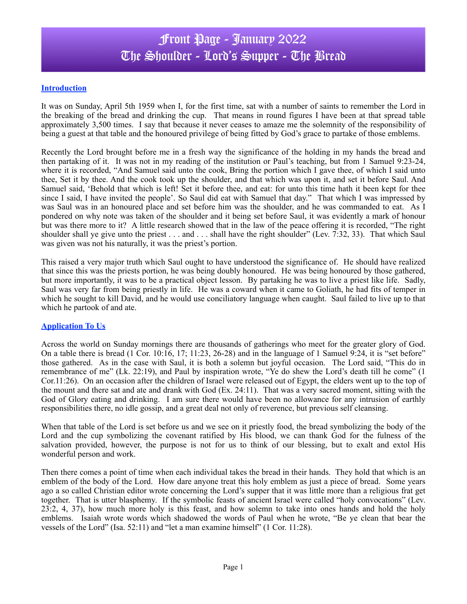# Front Page - January 2022 The Shoulder - Lord's Supper - The Bread

## **Introduction**

It was on Sunday, April 5th 1959 when I, for the first time, sat with a number of saints to remember the Lord in the breaking of the bread and drinking the cup. That means in round figures I have been at that spread table approximately 3,500 times. I say that because it never ceases to amaze me the solemnity of the responsibility of being a guest at that table and the honoured privilege of being fitted by God's grace to partake of those emblems.

Recently the Lord brought before me in a fresh way the significance of the holding in my hands the bread and then partaking of it. It was not in my reading of the institution or Paul's teaching, but from 1 Samuel 9:23-24, where it is recorded, "And Samuel said unto the cook, Bring the portion which I gave thee, of which I said unto thee, Set it by thee. And the cook took up the shoulder, and that which was upon it, and set it before Saul. And Samuel said, 'Behold that which is left! Set it before thee, and eat: for unto this time hath it been kept for thee since I said, I have invited the people'. So Saul did eat with Samuel that day." That which I was impressed by was Saul was in an honoured place and set before him was the shoulder, and he was commanded to eat. As I pondered on why note was taken of the shoulder and it being set before Saul, it was evidently a mark of honour but was there more to it? A little research showed that in the law of the peace offering it is recorded, "The right shoulder shall ye give unto the priest . . . and . . . shall have the right shoulder" (Lev. 7:32, 33). That which Saul was given was not his naturally, it was the priest's portion.

This raised a very major truth which Saul ought to have understood the significance of. He should have realized that since this was the priests portion, he was being doubly honoured. He was being honoured by those gathered, but more importantly, it was to be a practical object lesson. By partaking he was to live a priest like life. Sadly, Saul was very far from being priestly in life. He was a coward when it came to Goliath, he had fits of temper in which he sought to kill David, and he would use conciliatory language when caught. Saul failed to live up to that which he partook of and ate.

### **Application To Us**

Across the world on Sunday mornings there are thousands of gatherings who meet for the greater glory of God. On a table there is bread (1 Cor. 10:16, 17; 11:23, 26-28) and in the language of 1 Samuel 9:24, it is "set before" those gathered. As in the case with Saul, it is both a solemn but joyful occasion. The Lord said, "This do in remembrance of me" (Lk. 22:19), and Paul by inspiration wrote, "Ye do shew the Lord's death till he come" (1 Cor.11:26). On an occasion after the children of Israel were released out of Egypt, the elders went up to the top of the mount and there sat and ate and drank with God (Ex. 24:11). That was a very sacred moment, sitting with the God of Glory eating and drinking. I am sure there would have been no allowance for any intrusion of earthly responsibilities there, no idle gossip, and a great deal not only of reverence, but previous self cleansing.

When that table of the Lord is set before us and we see on it priestly food, the bread symbolizing the body of the Lord and the cup symbolizing the covenant ratified by His blood, we can thank God for the fulness of the salvation provided, however, the purpose is not for us to think of our blessing, but to exalt and extol His wonderful person and work.

Then there comes a point of time when each individual takes the bread in their hands. They hold that which is an emblem of the body of the Lord. How dare anyone treat this holy emblem as just a piece of bread. Some years ago a so called Christian editor wrote concerning the Lord's supper that it was little more than a religious frat get together. That is utter blasphemy. If the symbolic feasts of ancient Israel were called "holy convocations" (Lev. 23:2, 4, 37), how much more holy is this feast, and how solemn to take into ones hands and hold the holy emblems. Isaiah wrote words which shadowed the words of Paul when he wrote, "Be ye clean that bear the vessels of the Lord" (Isa. 52:11) and "let a man examine himself" (1 Cor. 11:28).